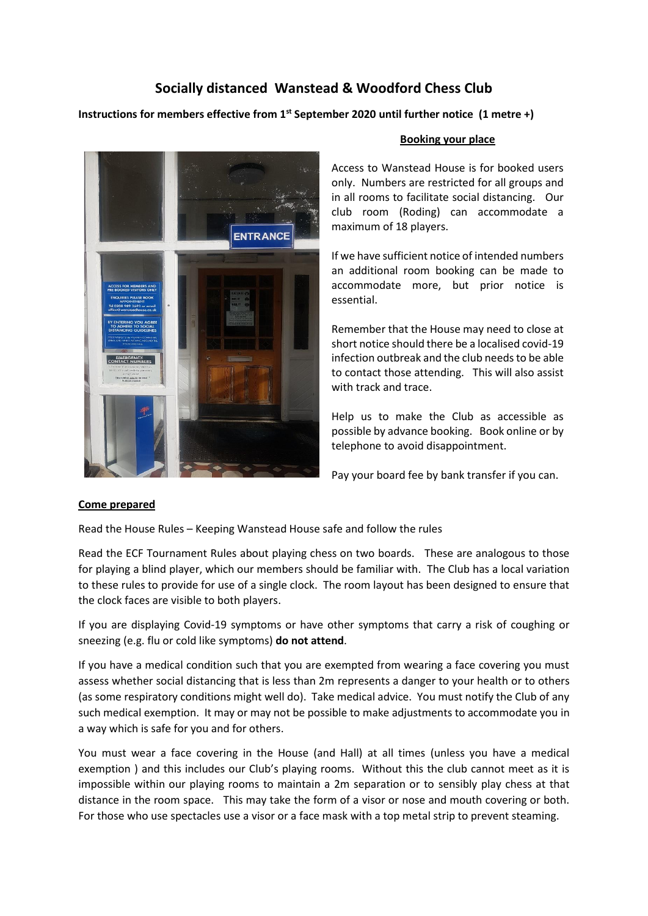# **Socially distanced Wanstead & Woodford Chess Club**

**Instructions for members effective from 1st September 2020 until further notice (1 metre +)**



#### **Booking your place**

Access to Wanstead House is for booked users only. Numbers are restricted for all groups and in all rooms to facilitate social distancing. Our club room (Roding) can accommodate a maximum of 18 players.

If we have sufficient notice of intended numbers an additional room booking can be made to accommodate more, but prior notice is essential.

Remember that the House may need to close at short notice should there be a localised covid-19 infection outbreak and the club needs to be able to contact those attending. This will also assist with track and trace.

Help us to make the Club as accessible as possible by advance booking. Book online or by telephone to avoid disappointment.

Pay your board fee by bank transfer if you can.

## **Come prepared**

Read the House Rules – Keeping Wanstead House safe and follow the rules

Read the ECF Tournament Rules about playing chess on two boards. These are analogous to those for playing a blind player, which our members should be familiar with. The Club has a local variation to these rules to provide for use of a single clock. The room layout has been designed to ensure that the clock faces are visible to both players.

If you are displaying Covid-19 symptoms or have other symptoms that carry a risk of coughing or sneezing (e.g. flu or cold like symptoms) **do not attend**.

If you have a medical condition such that you are exempted from wearing a face covering you must assess whether social distancing that is less than 2m represents a danger to your health or to others (as some respiratory conditions might well do). Take medical advice. You must notify the Club of any such medical exemption. It may or may not be possible to make adjustments to accommodate you in a way which is safe for you and for others.

You must wear a face covering in the House (and Hall) at all times (unless you have a medical exemption ) and this includes our Club's playing rooms. Without this the club cannot meet as it is impossible within our playing rooms to maintain a 2m separation or to sensibly play chess at that distance in the room space. This may take the form of a visor or nose and mouth covering or both. For those who use spectacles use a visor or a face mask with a top metal strip to prevent steaming.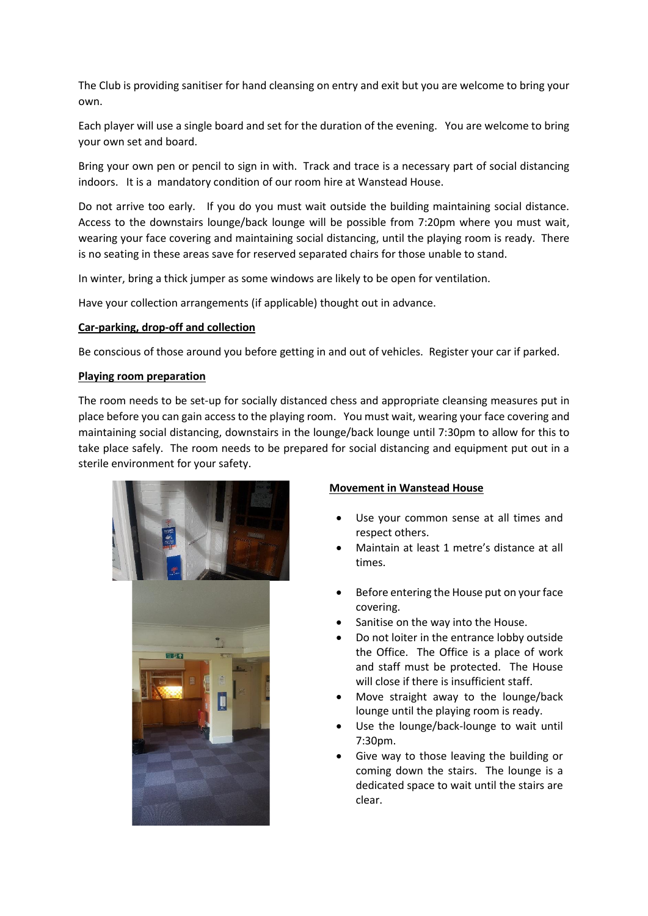The Club is providing sanitiser for hand cleansing on entry and exit but you are welcome to bring your own.

Each player will use a single board and set for the duration of the evening. You are welcome to bring your own set and board.

Bring your own pen or pencil to sign in with. Track and trace is a necessary part of social distancing indoors. It is a mandatory condition of our room hire at Wanstead House.

Do not arrive too early. If you do you must wait outside the building maintaining social distance. Access to the downstairs lounge/back lounge will be possible from 7:20pm where you must wait, wearing your face covering and maintaining social distancing, until the playing room is ready. There is no seating in these areas save for reserved separated chairs for those unable to stand.

In winter, bring a thick jumper as some windows are likely to be open for ventilation.

Have your collection arrangements (if applicable) thought out in advance.

## **Car-parking, drop-off and collection**

Be conscious of those around you before getting in and out of vehicles. Register your car if parked.

#### **Playing room preparation**

The room needs to be set-up for socially distanced chess and appropriate cleansing measures put in place before you can gain access to the playing room. You must wait, wearing your face covering and maintaining social distancing, downstairs in the lounge/back lounge until 7:30pm to allow for this to take place safely. The room needs to be prepared for social distancing and equipment put out in a sterile environment for your safety.



#### **Movement in Wanstead House**

- Use your common sense at all times and respect others.
- Maintain at least 1 metre's distance at all times.
- Before entering the House put on your face covering.
- Sanitise on the way into the House.
- Do not loiter in the entrance lobby outside the Office. The Office is a place of work and staff must be protected. The House will close if there is insufficient staff.
- Move straight away to the lounge/back lounge until the playing room is ready.
- Use the lounge/back-lounge to wait until 7:30pm.
- Give way to those leaving the building or coming down the stairs. The lounge is a dedicated space to wait until the stairs are clear.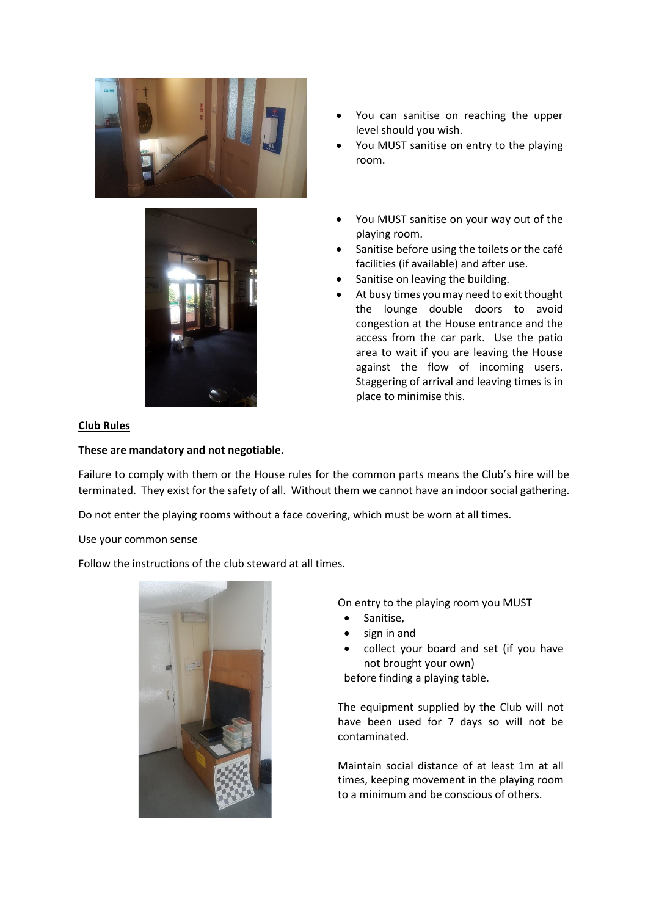



- You can sanitise on reaching the upper level should you wish.
- You MUST sanitise on entry to the playing room.
- You MUST sanitise on your way out of the playing room.
- Sanitise before using the toilets or the café facilities (if available) and after use.
- Sanitise on leaving the building.
- At busy times you may need to exit thought the lounge double doors to avoid congestion at the House entrance and the access from the car park. Use the patio area to wait if you are leaving the House against the flow of incoming users. Staggering of arrival and leaving times is in place to minimise this.

## **Club Rules**

## **These are mandatory and not negotiable.**

Failure to comply with them or the House rules for the common parts means the Club's hire will be terminated. They exist for the safety of all. Without them we cannot have an indoor social gathering.

Do not enter the playing rooms without a face covering, which must be worn at all times.

Use your common sense

Follow the instructions of the club steward at all times.



On entry to the playing room you MUST

- Sanitise,
- sign in and
- collect your board and set (if you have not brought your own) before finding a playing table.

The equipment supplied by the Club will not have been used for 7 days so will not be contaminated.

Maintain social distance of at least 1m at all times, keeping movement in the playing room to a minimum and be conscious of others.